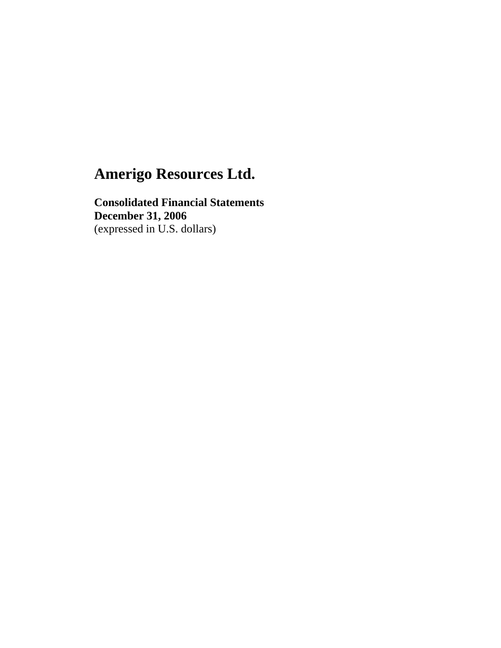**Consolidated Financial Statements December 31, 2006**  (expressed in U.S. dollars)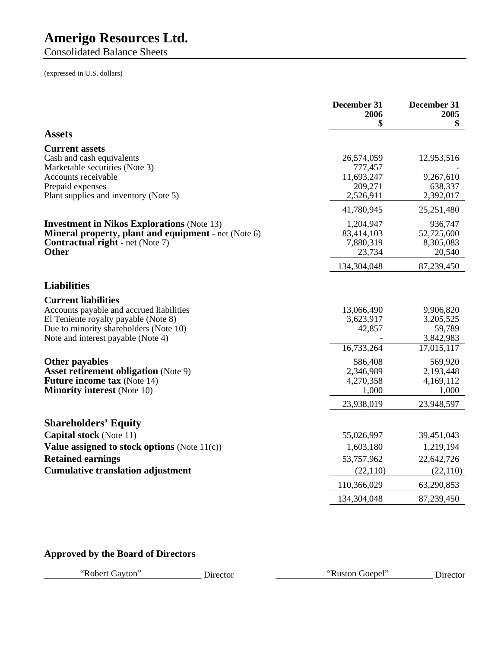Consolidated Balance Sheets

(expressed in U.S. dollars)

|                                                                      | December 31<br>2006<br>\$ | December 31<br>2005<br>\$ |
|----------------------------------------------------------------------|---------------------------|---------------------------|
| <b>Assets</b>                                                        |                           |                           |
| <b>Current assets</b>                                                |                           |                           |
| Cash and cash equivalents                                            | 26,574,059                | 12,953,516                |
| Marketable securities (Note 3)<br>Accounts receivable                | 777,457<br>11,693,247     |                           |
| Prepaid expenses                                                     | 209,271                   | 9,267,610<br>638,337      |
| Plant supplies and inventory (Note 5)                                | 2,526,911                 | 2,392,017                 |
|                                                                      | 41,780,945                | 25,251,480                |
| <b>Investment in Nikos Explorations (Note 13)</b>                    | 1,204,947                 | 936,747                   |
| <b>Mineral property, plant and equipment</b> - net (Note 6)          | 83,414,103                | 52,725,600                |
| <b>Contractual right</b> - net (Note 7)                              | 7,880,319                 | 8,305,083                 |
| <b>Other</b>                                                         | 23,734                    | 20,540                    |
|                                                                      | 134,304,048               | 87,239,450                |
| <b>Liabilities</b>                                                   |                           |                           |
| <b>Current liabilities</b>                                           |                           |                           |
| Accounts payable and accrued liabilities                             | 13,066,490                | 9,906,820                 |
| El Teniente royalty payable (Note 8)                                 | 3,623,917                 | 3,205,525                 |
| Due to minority shareholders (Note 10)                               | 42,857                    | 59,789                    |
| Note and interest payable (Note 4)                                   | 16,733,264                | 3,842,983<br>17,015,117   |
|                                                                      |                           |                           |
| <b>Other payables</b><br><b>Asset retirement obligation</b> (Note 9) | 586,408<br>2,346,989      | 569,920<br>2,193,448      |
| <b>Future income tax (Note 14)</b>                                   | 4,270,358                 | 4,169,112                 |
| <b>Minority interest (Note 10)</b>                                   | 1,000                     | 1,000                     |
|                                                                      | 23,938,019                | 23,948,597                |
| <b>Shareholders' Equity</b>                                          |                           |                           |
| <b>Capital stock</b> (Note 11)                                       | 55,026,997                | 39,451,043                |
| Value assigned to stock options (Note $11(c)$ )                      | 1,603,180                 | 1,219,194                 |
| <b>Retained earnings</b>                                             | 53,757,962                | 22,642,726                |
| <b>Cumulative translation adjustment</b>                             | (22, 110)                 | (22, 110)                 |
|                                                                      | 110,366,029               | 63,290,853                |
|                                                                      | 134,304,048               | 87,239,450                |

### **Approved by the Board of Directors**

"Robert Gayton" Director "Ruston Goepel" Director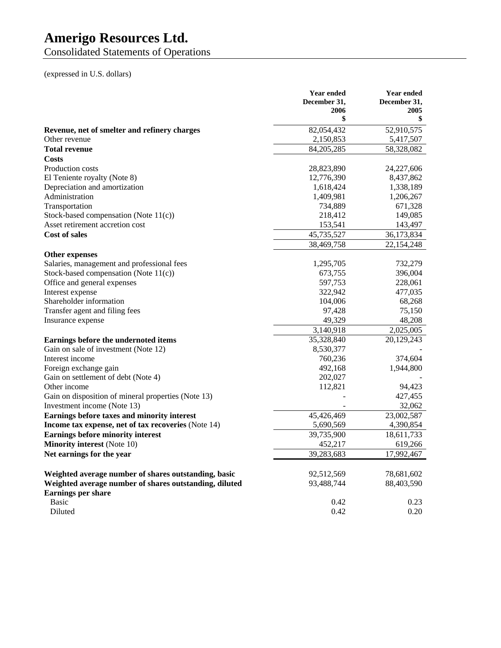Consolidated Statements of Operations

(expressed in U.S. dollars)

|                                                        | <b>Year ended</b><br>December 31,<br>2006<br>\$ | <b>Year ended</b><br>December 31,<br>2005<br>\$ |
|--------------------------------------------------------|-------------------------------------------------|-------------------------------------------------|
| Revenue, net of smelter and refinery charges           | 82,054,432                                      | 52,910,575                                      |
| Other revenue                                          | 2,150,853                                       | 5,417,507                                       |
| <b>Total revenue</b>                                   | 84,205,285                                      | 58,328,082                                      |
| Costs                                                  |                                                 |                                                 |
| Production costs                                       | 28,823,890                                      | 24,227,606                                      |
| El Teniente royalty (Note 8)                           | 12,776,390                                      | 8,437,862                                       |
| Depreciation and amortization                          | 1,618,424                                       | 1,338,189                                       |
| Administration                                         | 1,409,981                                       | 1,206,267                                       |
| Transportation                                         | 734,889                                         | 671,328                                         |
| Stock-based compensation (Note 11(c))                  | 218,412                                         | 149,085                                         |
| Asset retirement accretion cost                        | 153,541                                         | 143,497                                         |
| <b>Cost of sales</b>                                   | 45,735,527                                      | 36,173,834                                      |
|                                                        | 38,469,758                                      | 22,154,248                                      |
| <b>Other expenses</b>                                  |                                                 |                                                 |
| Salaries, management and professional fees             | 1,295,705                                       | 732,279                                         |
| Stock-based compensation (Note 11(c))                  | 673,755                                         | 396,004                                         |
| Office and general expenses                            | 597,753                                         | 228,061                                         |
| Interest expense                                       | 322,942                                         | 477,035                                         |
| Shareholder information                                | 104,006                                         | 68,268                                          |
| Transfer agent and filing fees                         | 97,428                                          | 75,150                                          |
| Insurance expense                                      | 49,329                                          | 48,208                                          |
|                                                        | 3,140,918                                       | 2,025,005                                       |
| Earnings before the undernoted items                   | 35,328,840                                      | 20,129,243                                      |
| Gain on sale of investment (Note 12)                   | 8,530,377                                       |                                                 |
| Interest income                                        | 760,236                                         | 374.604                                         |
| Foreign exchange gain                                  | 492,168                                         | 1,944,800                                       |
| Gain on settlement of debt (Note 4)                    | 202,027                                         |                                                 |
| Other income                                           | 112,821                                         | 94,423                                          |
| Gain on disposition of mineral properties (Note 13)    |                                                 | 427,455                                         |
| Investment income (Note 13)                            |                                                 | 32,062                                          |
| Earnings before taxes and minority interest            | 45,426,469                                      | 23,002,587                                      |
| Income tax expense, net of tax recoveries (Note 14)    | 5,690,569                                       | 4,390,854                                       |
| <b>Earnings before minority interest</b>               | 39,735,900                                      | 18,611,733                                      |
| <b>Minority interest</b> (Note 10)                     | 452,217                                         | 619,266                                         |
| Net earnings for the year                              | 39,283,683                                      | 17,992,467                                      |
| Weighted average number of shares outstanding, basic   | 92,512,569                                      | 78,681,602                                      |
| Weighted average number of shares outstanding, diluted | 93,488,744                                      | 88,403,590                                      |
| <b>Earnings per share</b>                              |                                                 |                                                 |
| <b>Basic</b>                                           | 0.42                                            | 0.23                                            |
| Diluted                                                | 0.42                                            | 0.20                                            |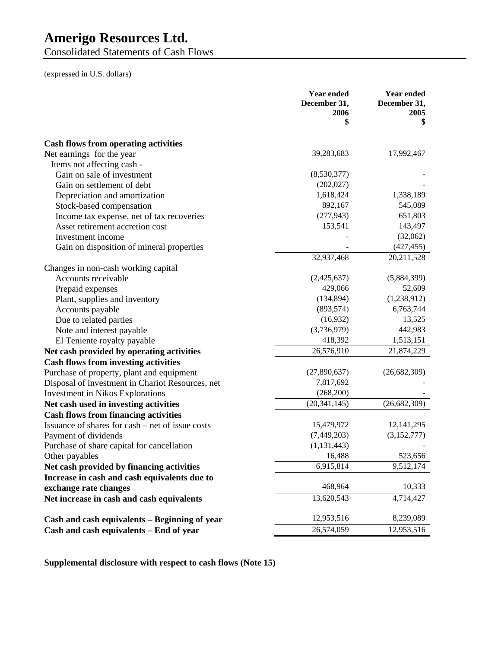Consolidated Statements of Cash Flows

(expressed in U.S. dollars)

|                                                  | <b>Year ended</b><br>December 31,<br>2006<br>\$ | <b>Year ended</b><br>December 31,<br>2005<br>\$ |
|--------------------------------------------------|-------------------------------------------------|-------------------------------------------------|
| <b>Cash flows from operating activities</b>      |                                                 |                                                 |
| Net earnings for the year                        | 39,283,683                                      | 17,992,467                                      |
| Items not affecting cash -                       |                                                 |                                                 |
| Gain on sale of investment                       | (8,530,377)                                     |                                                 |
| Gain on settlement of debt                       | (202, 027)                                      |                                                 |
| Depreciation and amortization                    | 1,618,424                                       | 1,338,189                                       |
| Stock-based compensation                         | 892,167                                         | 545,089                                         |
| Income tax expense, net of tax recoveries        | (277, 943)                                      | 651,803                                         |
| Asset retirement accretion cost                  | 153,541                                         | 143,497                                         |
| Investment income                                |                                                 | (32,062)                                        |
| Gain on disposition of mineral properties        |                                                 | (427, 455)                                      |
|                                                  | 32,937,468                                      | 20,211,528                                      |
| Changes in non-cash working capital              |                                                 |                                                 |
| Accounts receivable                              | (2,425,637)                                     | (5,884,399)                                     |
| Prepaid expenses                                 | 429,066                                         | 52,609                                          |
| Plant, supplies and inventory                    | (134, 894)                                      | (1,238,912)                                     |
| Accounts payable                                 | (893, 574)                                      | 6,763,744                                       |
| Due to related parties                           | (16,932)                                        | 13,525                                          |
| Note and interest payable                        | (3,736,979)                                     | 442,983                                         |
| El Teniente royalty payable                      | 418,392                                         | 1,513,151                                       |
| Net cash provided by operating activities        | 26,576,910                                      | 21,874,229                                      |
| <b>Cash flows from investing activities</b>      |                                                 |                                                 |
| Purchase of property, plant and equipment        | (27,890,637)                                    | (26,682,309)                                    |
| Disposal of investment in Chariot Resources, net | 7,817,692                                       |                                                 |
| <b>Investment in Nikos Explorations</b>          | (268,200)                                       |                                                 |
| Net cash used in investing activities            | (20, 341, 145)                                  | (26,682,309)                                    |
| <b>Cash flows from financing activities</b>      |                                                 |                                                 |
| Issuance of shares for cash – net of issue costs | 15,479,972                                      | 12, 141, 295                                    |
| Payment of dividends                             | (7,449,203)                                     | (3,152,777)                                     |
| Purchase of share capital for cancellation       | (1, 131, 443)                                   |                                                 |
| Other payables                                   | 16,488                                          | 523,656                                         |
| Net cash provided by financing activities        | 6,915,814                                       | 9,512,174                                       |
| Increase in cash and cash equivalents due to     |                                                 |                                                 |
| exchange rate changes                            | 468,964                                         | 10,333                                          |
| Net increase in cash and cash equivalents        | 13,620,543                                      | 4,714,427                                       |
| Cash and cash equivalents - Beginning of year    | 12,953,516                                      | 8,239,089                                       |
| Cash and cash equivalents - End of year          | 26,574,059                                      | 12,953,516                                      |

**Supplemental disclosure with respect to cash flows (Note 15)**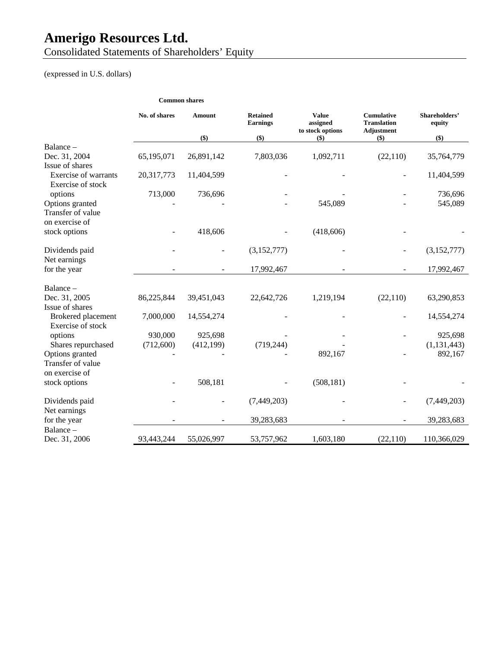Consolidated Statements of Shareholders' Equity

(expressed in U.S. dollars)

|                                                  |               | <b>Common shares</b> |                                    |                                              |                                                       |                         |
|--------------------------------------------------|---------------|----------------------|------------------------------------|----------------------------------------------|-------------------------------------------------------|-------------------------|
|                                                  | No. of shares | <b>Amount</b>        | <b>Retained</b><br><b>Earnings</b> | <b>Value</b><br>assigned<br>to stock options | <b>Cumulative</b><br><b>Translation</b><br>Adjustment | Shareholders'<br>equity |
|                                                  |               | \$)                  | \$)                                | $(\$)$                                       | $($)$                                                 | \$)                     |
| $Balance -$                                      |               |                      |                                    |                                              |                                                       |                         |
| Dec. 31, 2004<br>Issue of shares                 | 65,195,071    | 26,891,142           | 7,803,036                          | 1,092,711                                    | (22, 110)                                             | 35,764,779              |
| <b>Exercise of warrants</b><br>Exercise of stock | 20,317,773    | 11,404,599           |                                    |                                              |                                                       | 11,404,599              |
| options                                          | 713,000       | 736,696              |                                    |                                              |                                                       | 736,696                 |
| Options granted<br>Transfer of value             |               |                      |                                    | 545,089                                      |                                                       | 545,089                 |
| on exercise of                                   |               |                      |                                    |                                              |                                                       |                         |
| stock options                                    |               | 418,606              |                                    | (418,606)                                    |                                                       |                         |
| Dividends paid<br>Net earnings                   |               |                      | (3,152,777)                        |                                              |                                                       | (3,152,777)             |
| for the year                                     |               |                      | 17,992,467                         |                                              |                                                       | 17,992,467              |
| Balance -                                        |               |                      |                                    |                                              |                                                       |                         |
| Dec. 31, 2005                                    | 86,225,844    | 39,451,043           | 22,642,726                         | 1,219,194                                    | (22,110)                                              | 63,290,853              |
| Issue of shares                                  |               |                      |                                    |                                              |                                                       |                         |
| Brokered placement<br>Exercise of stock          | 7,000,000     | 14,554,274           |                                    |                                              |                                                       | 14,554,274              |
| options                                          | 930,000       | 925,698              |                                    |                                              |                                                       | 925,698                 |
| Shares repurchased                               | (712,600)     | (412, 199)           | (719, 244)                         |                                              |                                                       | (1, 131, 443)           |
| Options granted                                  |               |                      |                                    | 892,167                                      |                                                       | 892,167                 |
| Transfer of value                                |               |                      |                                    |                                              |                                                       |                         |
| on exercise of                                   |               |                      |                                    |                                              |                                                       |                         |
| stock options                                    |               | 508,181              |                                    | (508, 181)                                   |                                                       |                         |
| Dividends paid                                   |               |                      | (7, 449, 203)                      |                                              |                                                       | (7, 449, 203)           |
| Net earnings<br>for the year                     |               |                      | 39,283,683                         |                                              |                                                       | 39,283,683              |
| Balance -<br>Dec. 31, 2006                       | 93,443,244    | 55,026,997           | 53,757,962                         | 1,603,180                                    | (22, 110)                                             | 110,366,029             |
|                                                  |               |                      |                                    |                                              |                                                       |                         |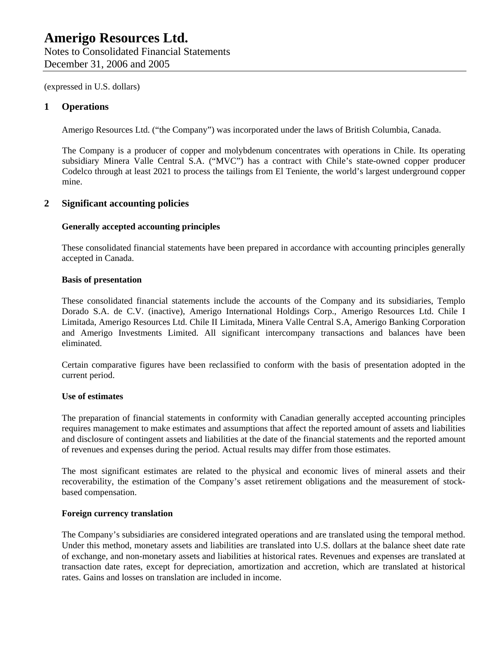### **1 Operations**

Amerigo Resources Ltd. ("the Company") was incorporated under the laws of British Columbia, Canada.

The Company is a producer of copper and molybdenum concentrates with operations in Chile. Its operating subsidiary Minera Valle Central S.A. ("MVC") has a contract with Chile's state-owned copper producer Codelco through at least 2021 to process the tailings from El Teniente, the world's largest underground copper mine.

### **2 Significant accounting policies**

### **Generally accepted accounting principles**

These consolidated financial statements have been prepared in accordance with accounting principles generally accepted in Canada.

### **Basis of presentation**

These consolidated financial statements include the accounts of the Company and its subsidiaries, Templo Dorado S.A. de C.V. (inactive), Amerigo International Holdings Corp., Amerigo Resources Ltd. Chile I Limitada, Amerigo Resources Ltd. Chile II Limitada, Minera Valle Central S.A, Amerigo Banking Corporation and Amerigo Investments Limited. All significant intercompany transactions and balances have been eliminated.

Certain comparative figures have been reclassified to conform with the basis of presentation adopted in the current period.

### **Use of estimates**

The preparation of financial statements in conformity with Canadian generally accepted accounting principles requires management to make estimates and assumptions that affect the reported amount of assets and liabilities and disclosure of contingent assets and liabilities at the date of the financial statements and the reported amount of revenues and expenses during the period. Actual results may differ from those estimates.

The most significant estimates are related to the physical and economic lives of mineral assets and their recoverability, the estimation of the Company's asset retirement obligations and the measurement of stockbased compensation.

### **Foreign currency translation**

The Company's subsidiaries are considered integrated operations and are translated using the temporal method. Under this method, monetary assets and liabilities are translated into U.S. dollars at the balance sheet date rate of exchange, and non-monetary assets and liabilities at historical rates. Revenues and expenses are translated at transaction date rates, except for depreciation, amortization and accretion, which are translated at historical rates. Gains and losses on translation are included in income.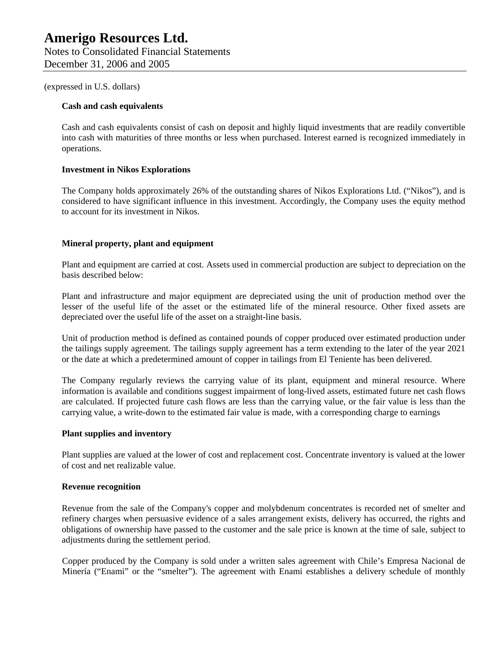### **Cash and cash equivalents**

Cash and cash equivalents consist of cash on deposit and highly liquid investments that are readily convertible into cash with maturities of three months or less when purchased. Interest earned is recognized immediately in operations.

### **Investment in Nikos Explorations**

The Company holds approximately 26% of the outstanding shares of Nikos Explorations Ltd. ("Nikos"), and is considered to have significant influence in this investment. Accordingly, the Company uses the equity method to account for its investment in Nikos.

### **Mineral property, plant and equipment**

Plant and equipment are carried at cost. Assets used in commercial production are subject to depreciation on the basis described below:

Plant and infrastructure and major equipment are depreciated using the unit of production method over the lesser of the useful life of the asset or the estimated life of the mineral resource. Other fixed assets are depreciated over the useful life of the asset on a straight-line basis.

Unit of production method is defined as contained pounds of copper produced over estimated production under the tailings supply agreement. The tailings supply agreement has a term extending to the later of the year 2021 or the date at which a predetermined amount of copper in tailings from El Teniente has been delivered.

The Company regularly reviews the carrying value of its plant, equipment and mineral resource. Where information is available and conditions suggest impairment of long-lived assets, estimated future net cash flows are calculated. If projected future cash flows are less than the carrying value, or the fair value is less than the carrying value, a write-down to the estimated fair value is made, with a corresponding charge to earnings

### **Plant supplies and inventory**

Plant supplies are valued at the lower of cost and replacement cost. Concentrate inventory is valued at the lower of cost and net realizable value.

### **Revenue recognition**

Revenue from the sale of the Company's copper and molybdenum concentrates is recorded net of smelter and refinery charges when persuasive evidence of a sales arrangement exists, delivery has occurred, the rights and obligations of ownership have passed to the customer and the sale price is known at the time of sale, subject to adjustments during the settlement period.

Copper produced by the Company is sold under a written sales agreement with Chile's Empresa Nacional de Minería ("Enami" or the "smelter"). The agreement with Enami establishes a delivery schedule of monthly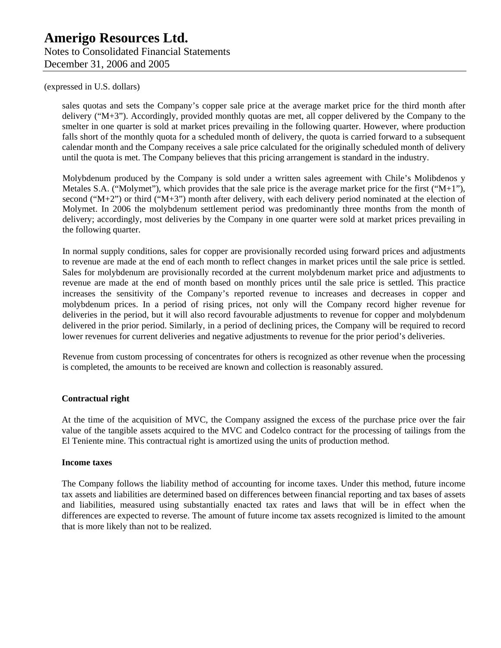sales quotas and sets the Company's copper sale price at the average market price for the third month after delivery ("M+3"). Accordingly, provided monthly quotas are met, all copper delivered by the Company to the smelter in one quarter is sold at market prices prevailing in the following quarter. However, where production falls short of the monthly quota for a scheduled month of delivery, the quota is carried forward to a subsequent calendar month and the Company receives a sale price calculated for the originally scheduled month of delivery until the quota is met. The Company believes that this pricing arrangement is standard in the industry.

Molybdenum produced by the Company is sold under a written sales agreement with Chile's Molibdenos y Metales S.A. ("Molymet"), which provides that the sale price is the average market price for the first (" $M+1$ "), second (" $M+2$ ") or third (" $M+3$ ") month after delivery, with each delivery period nominated at the election of Molymet. In 2006 the molybdenum settlement period was predominantly three months from the month of delivery; accordingly, most deliveries by the Company in one quarter were sold at market prices prevailing in the following quarter.

In normal supply conditions, sales for copper are provisionally recorded using forward prices and adjustments to revenue are made at the end of each month to reflect changes in market prices until the sale price is settled. Sales for molybdenum are provisionally recorded at the current molybdenum market price and adjustments to revenue are made at the end of month based on monthly prices until the sale price is settled. This practice increases the sensitivity of the Company's reported revenue to increases and decreases in copper and molybdenum prices. In a period of rising prices, not only will the Company record higher revenue for deliveries in the period, but it will also record favourable adjustments to revenue for copper and molybdenum delivered in the prior period. Similarly, in a period of declining prices, the Company will be required to record lower revenues for current deliveries and negative adjustments to revenue for the prior period's deliveries.

Revenue from custom processing of concentrates for others is recognized as other revenue when the processing is completed, the amounts to be received are known and collection is reasonably assured.

### **Contractual right**

At the time of the acquisition of MVC, the Company assigned the excess of the purchase price over the fair value of the tangible assets acquired to the MVC and Codelco contract for the processing of tailings from the El Teniente mine. This contractual right is amortized using the units of production method.

### **Income taxes**

The Company follows the liability method of accounting for income taxes. Under this method, future income tax assets and liabilities are determined based on differences between financial reporting and tax bases of assets and liabilities, measured using substantially enacted tax rates and laws that will be in effect when the differences are expected to reverse. The amount of future income tax assets recognized is limited to the amount that is more likely than not to be realized.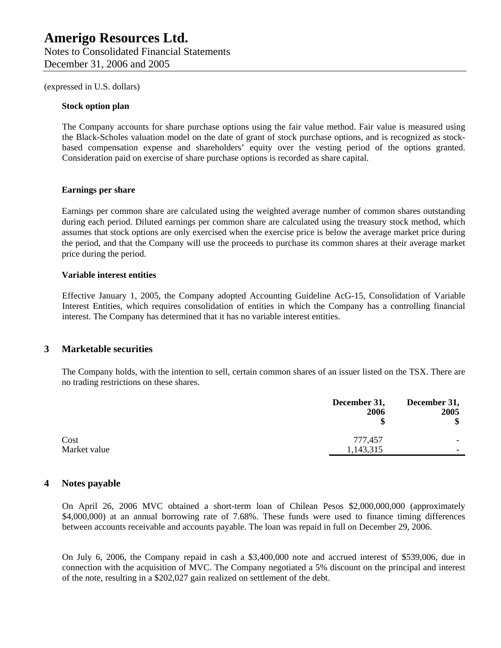#### **Stock option plan**

The Company accounts for share purchase options using the fair value method. Fair value is measured using the Black-Scholes valuation model on the date of grant of stock purchase options, and is recognized as stockbased compensation expense and shareholders' equity over the vesting period of the options granted. Consideration paid on exercise of share purchase options is recorded as share capital.

#### **Earnings per share**

Earnings per common share are calculated using the weighted average number of common shares outstanding during each period. Diluted earnings per common share are calculated using the treasury stock method, which assumes that stock options are only exercised when the exercise price is below the average market price during the period, and that the Company will use the proceeds to purchase its common shares at their average market price during the period.

### **Variable interest entities**

Effective January 1, 2005, the Company adopted Accounting Guideline AcG-15, Consolidation of Variable Interest Entities, which requires consolidation of entities in which the Company has a controlling financial interest. The Company has determined that it has no variable interest entities.

### **3 Marketable securities**

The Company holds, with the intention to sell, certain common shares of an issuer listed on the TSX. There are no trading restrictions on these shares.

|              | December 31,<br>2006 | December 31,<br>2005<br>\$ |
|--------------|----------------------|----------------------------|
| Cost         | 777,457              |                            |
| Market value | 1,143,315            | $\overline{\phantom{0}}$   |

### **4 Notes payable**

On April 26, 2006 MVC obtained a short-term loan of Chilean Pesos \$2,000,000,000 (approximately \$4,000,000) at an annual borrowing rate of 7.68%. These funds were used to finance timing differences between accounts receivable and accounts payable. The loan was repaid in full on December 29, 2006.

On July 6, 2006, the Company repaid in cash a \$3,400,000 note and accrued interest of \$539,006, due in connection with the acquisition of MVC. The Company negotiated a 5% discount on the principal and interest of the note, resulting in a \$202,027 gain realized on settlement of the debt.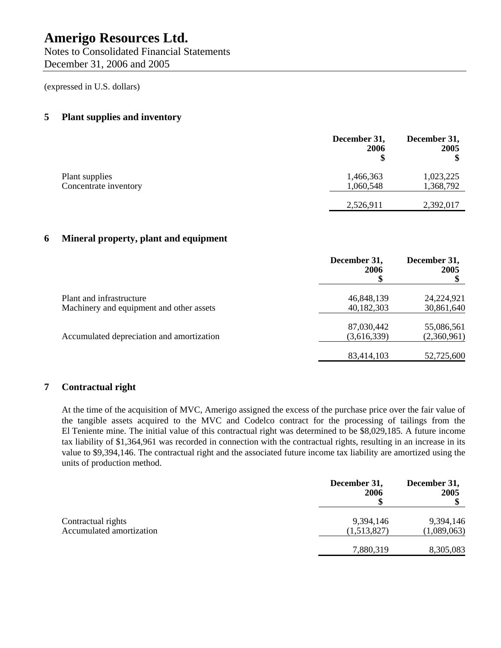Notes to Consolidated Financial Statements December 31, 2006 and 2005

(expressed in U.S. dollars)

### **5 Plant supplies and inventory**

|                       | December 31,<br>2006 | December 31,<br>2005 |
|-----------------------|----------------------|----------------------|
| Plant supplies        | 1,466,363            | 1,023,225            |
| Concentrate inventory | 1,060,548            | 1,368,792            |
|                       | 2,526,911            | 2,392,017            |

### **6 Mineral property, plant and equipment**

|                                           | December 31,<br>2006 | December 31,<br>2005 |
|-------------------------------------------|----------------------|----------------------|
| Plant and infrastructure                  | 46,848,139           | 24,224,921           |
| Machinery and equipment and other assets  | 40,182,303           | 30,861,640           |
|                                           | 87,030,442           | 55,086,561           |
| Accumulated depreciation and amortization | (3,616,339)          | (2,360,961)          |
|                                           | 83,414,103           | 52,725,600           |

### **7 Contractual right**

At the time of the acquisition of MVC, Amerigo assigned the excess of the purchase price over the fair value of the tangible assets acquired to the MVC and Codelco contract for the processing of tailings from the El Teniente mine. The initial value of this contractual right was determined to be \$8,029,185. A future income tax liability of \$1,364,961 was recorded in connection with the contractual rights, resulting in an increase in its value to \$9,394,146. The contractual right and the associated future income tax liability are amortized using the units of production method.

|                          | December 31,<br>2006 | December 31,<br>2005 |
|--------------------------|----------------------|----------------------|
| Contractual rights       | 9,394,146            | 9,394,146            |
| Accumulated amortization | (1,513,827)          | (1,089,063)          |
|                          | 7,880,319            | 8,305,083            |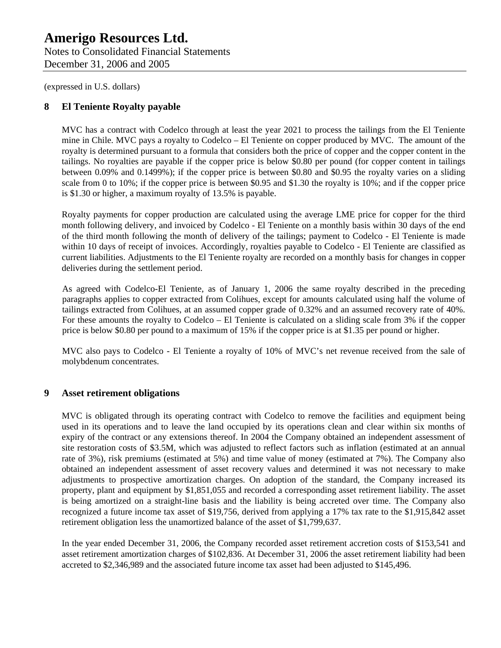Notes to Consolidated Financial Statements December 31, 2006 and 2005

(expressed in U.S. dollars)

### **8 El Teniente Royalty payable**

MVC has a contract with Codelco through at least the year 2021 to process the tailings from the El Teniente mine in Chile. MVC pays a royalty to Codelco – El Teniente on copper produced by MVC. The amount of the royalty is determined pursuant to a formula that considers both the price of copper and the copper content in the tailings. No royalties are payable if the copper price is below \$0.80 per pound (for copper content in tailings between 0.09% and 0.1499%); if the copper price is between \$0.80 and \$0.95 the royalty varies on a sliding scale from 0 to 10%; if the copper price is between \$0.95 and \$1.30 the royalty is 10%; and if the copper price is \$1.30 or higher, a maximum royalty of 13.5% is payable.

Royalty payments for copper production are calculated using the average LME price for copper for the third month following delivery, and invoiced by Codelco - El Teniente on a monthly basis within 30 days of the end of the third month following the month of delivery of the tailings; payment to Codelco - El Teniente is made within 10 days of receipt of invoices. Accordingly, royalties payable to Codelco - El Teniente are classified as current liabilities. Adjustments to the El Teniente royalty are recorded on a monthly basis for changes in copper deliveries during the settlement period.

As agreed with Codelco-El Teniente, as of January 1, 2006 the same royalty described in the preceding paragraphs applies to copper extracted from Colihues, except for amounts calculated using half the volume of tailings extracted from Colihues, at an assumed copper grade of 0.32% and an assumed recovery rate of 40%. For these amounts the royalty to Codelco – El Teniente is calculated on a sliding scale from 3% if the copper price is below \$0.80 per pound to a maximum of 15% if the copper price is at \$1.35 per pound or higher.

MVC also pays to Codelco - El Teniente a royalty of 10% of MVC's net revenue received from the sale of molybdenum concentrates.

### **9 Asset retirement obligations**

MVC is obligated through its operating contract with Codelco to remove the facilities and equipment being used in its operations and to leave the land occupied by its operations clean and clear within six months of expiry of the contract or any extensions thereof. In 2004 the Company obtained an independent assessment of site restoration costs of \$3.5M, which was adjusted to reflect factors such as inflation (estimated at an annual rate of 3%), risk premiums (estimated at 5%) and time value of money (estimated at 7%). The Company also obtained an independent assessment of asset recovery values and determined it was not necessary to make adjustments to prospective amortization charges. On adoption of the standard, the Company increased its property, plant and equipment by \$1,851,055 and recorded a corresponding asset retirement liability. The asset is being amortized on a straight-line basis and the liability is being accreted over time. The Company also recognized a future income tax asset of \$19,756, derived from applying a 17% tax rate to the \$1,915,842 asset retirement obligation less the unamortized balance of the asset of \$1,799,637.

In the year ended December 31, 2006, the Company recorded asset retirement accretion costs of \$153,541 and asset retirement amortization charges of \$102,836. At December 31, 2006 the asset retirement liability had been accreted to \$2,346,989 and the associated future income tax asset had been adjusted to \$145,496.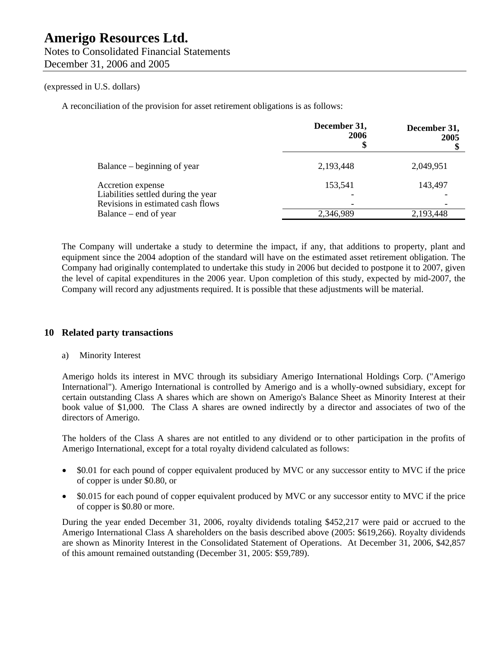December 31, 2006 and 2005

### (expressed in U.S. dollars)

A reconciliation of the provision for asset retirement obligations is as follows:

|                                                            | December 31,<br>2006<br>Φ | December 31,<br>2005 |
|------------------------------------------------------------|---------------------------|----------------------|
| Balance – beginning of year                                | 2,193,448                 | 2,049,951            |
| Accretion expense<br>Liabilities settled during the year   | 153,541                   | 143,497              |
| Revisions in estimated cash flows<br>Balance – end of year | 2,346,989                 | 2,193,448            |

The Company will undertake a study to determine the impact, if any, that additions to property, plant and equipment since the 2004 adoption of the standard will have on the estimated asset retirement obligation. The Company had originally contemplated to undertake this study in 2006 but decided to postpone it to 2007, given the level of capital expenditures in the 2006 year. Upon completion of this study, expected by mid-2007, the Company will record any adjustments required. It is possible that these adjustments will be material.

### **10 Related party transactions**

### a) Minority Interest

Amerigo holds its interest in MVC through its subsidiary Amerigo International Holdings Corp. ("Amerigo International"). Amerigo International is controlled by Amerigo and is a wholly-owned subsidiary, except for certain outstanding Class A shares which are shown on Amerigo's Balance Sheet as Minority Interest at their book value of \$1,000. The Class A shares are owned indirectly by a director and associates of two of the directors of Amerigo.

The holders of the Class A shares are not entitled to any dividend or to other participation in the profits of Amerigo International, except for a total royalty dividend calculated as follows:

- \$0.01 for each pound of copper equivalent produced by MVC or any successor entity to MVC if the price of copper is under \$0.80, or
- \$0.015 for each pound of copper equivalent produced by MVC or any successor entity to MVC if the price of copper is \$0.80 or more.

During the year ended December 31, 2006, royalty dividends totaling \$452,217 were paid or accrued to the Amerigo International Class A shareholders on the basis described above (2005: \$619,266). Royalty dividends are shown as Minority Interest in the Consolidated Statement of Operations. At December 31, 2006, \$42,857 of this amount remained outstanding (December 31, 2005: \$59,789).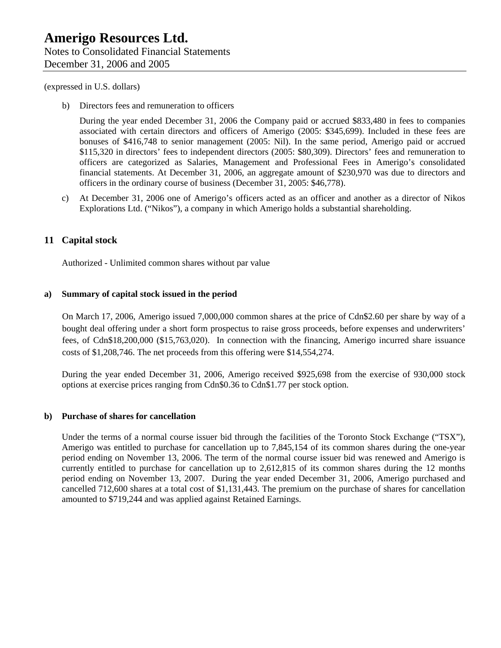b) Directors fees and remuneration to officers

During the year ended December 31, 2006 the Company paid or accrued \$833,480 in fees to companies associated with certain directors and officers of Amerigo (2005: \$345,699). Included in these fees are bonuses of \$416,748 to senior management (2005: Nil). In the same period, Amerigo paid or accrued \$115,320 in directors' fees to independent directors (2005: \$80,309). Directors' fees and remuneration to officers are categorized as Salaries, Management and Professional Fees in Amerigo's consolidated financial statements. At December 31, 2006, an aggregate amount of \$230,970 was due to directors and officers in the ordinary course of business (December 31, 2005: \$46,778).

c) At December 31, 2006 one of Amerigo's officers acted as an officer and another as a director of Nikos Explorations Ltd. ("Nikos"), a company in which Amerigo holds a substantial shareholding.

### **11 Capital stock**

Authorized - Unlimited common shares without par value

#### **a) Summary of capital stock issued in the period**

On March 17, 2006, Amerigo issued 7,000,000 common shares at the price of Cdn\$2.60 per share by way of a bought deal offering under a short form prospectus to raise gross proceeds, before expenses and underwriters' fees, of Cdn\$18,200,000 (\$15,763,020). In connection with the financing, Amerigo incurred share issuance costs of \$1,208,746. The net proceeds from this offering were \$14,554,274.

During the year ended December 31, 2006, Amerigo received \$925,698 from the exercise of 930,000 stock options at exercise prices ranging from Cdn\$0.36 to Cdn\$1.77 per stock option.

### **b) Purchase of shares for cancellation**

Under the terms of a normal course issuer bid through the facilities of the Toronto Stock Exchange ("TSX"), Amerigo was entitled to purchase for cancellation up to 7,845,154 of its common shares during the one-year period ending on November 13, 2006. The term of the normal course issuer bid was renewed and Amerigo is currently entitled to purchase for cancellation up to 2,612,815 of its common shares during the 12 months period ending on November 13, 2007. During the year ended December 31, 2006, Amerigo purchased and cancelled 712,600 shares at a total cost of \$1,131,443. The premium on the purchase of shares for cancellation amounted to \$719,244 and was applied against Retained Earnings.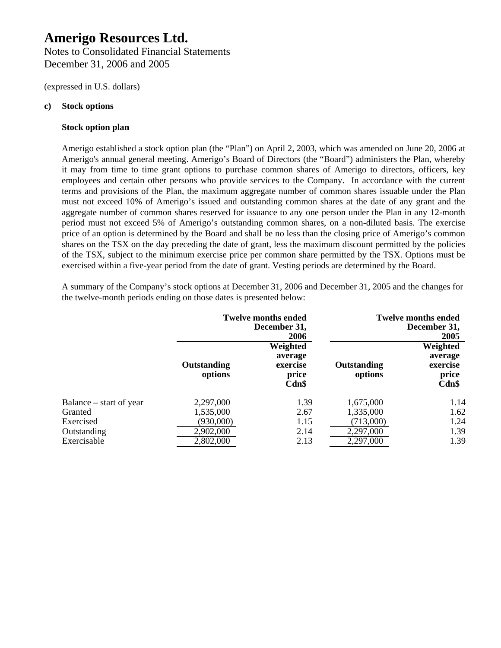### **Amerigo Resources Ltd.**  Notes to Consolidated Financial Statements

December 31, 2006 and 2005

(expressed in U.S. dollars)

### **c) Stock options**

### **Stock option plan**

Amerigo established a stock option plan (the "Plan") on April 2, 2003, which was amended on June 20, 2006 at Amerigo's annual general meeting. Amerigo's Board of Directors (the "Board") administers the Plan, whereby it may from time to time grant options to purchase common shares of Amerigo to directors, officers, key employees and certain other persons who provide services to the Company. In accordance with the current terms and provisions of the Plan, the maximum aggregate number of common shares issuable under the Plan must not exceed 10% of Amerigo's issued and outstanding common shares at the date of any grant and the aggregate number of common shares reserved for issuance to any one person under the Plan in any 12-month period must not exceed 5% of Amerigo's outstanding common shares, on a non-diluted basis. The exercise price of an option is determined by the Board and shall be no less than the closing price of Amerigo's common shares on the TSX on the day preceding the date of grant, less the maximum discount permitted by the policies of the TSX, subject to the minimum exercise price per common share permitted by the TSX. Options must be exercised within a five-year period from the date of grant. Vesting periods are determined by the Board.

A summary of the Company's stock options at December 31, 2006 and December 31, 2005 and the changes for the twelve-month periods ending on those dates is presented below:

|                         | <b>Twelve months ended</b><br>December 31,<br>2006 |                                                   |                        | <b>Twelve months ended</b><br>December 31,<br>2005 |
|-------------------------|----------------------------------------------------|---------------------------------------------------|------------------------|----------------------------------------------------|
|                         | Outstanding<br>options                             | Weighted<br>average<br>exercise<br>price<br>Cdn\$ | Outstanding<br>options | Weighted<br>average<br>exercise<br>price<br>Cdn\$  |
| Balance – start of year | 2,297,000                                          | 1.39                                              | 1,675,000              | 1.14                                               |
| Granted                 | 1,535,000                                          | 2.67                                              | 1,335,000              | 1.62                                               |
| Exercised               | (930,000)                                          | 1.15                                              | (713,000)              | 1.24                                               |
| Outstanding             | 2,902,000                                          | 2.14                                              | 2,297,000              | 1.39                                               |
| Exercisable             | 2,802,000                                          | 2.13                                              | 2,297,000              | 1.39                                               |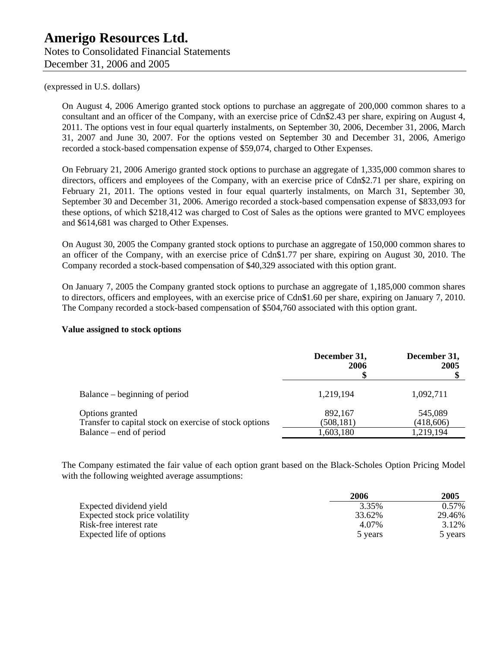On August 4, 2006 Amerigo granted stock options to purchase an aggregate of 200,000 common shares to a consultant and an officer of the Company, with an exercise price of Cdn\$2.43 per share, expiring on August 4, 2011. The options vest in four equal quarterly instalments, on September 30, 2006, December 31, 2006, March 31, 2007 and June 30, 2007. For the options vested on September 30 and December 31, 2006, Amerigo recorded a stock-based compensation expense of \$59,074, charged to Other Expenses.

On February 21, 2006 Amerigo granted stock options to purchase an aggregate of 1,335,000 common shares to directors, officers and employees of the Company, with an exercise price of Cdn\$2.71 per share, expiring on February 21, 2011. The options vested in four equal quarterly instalments, on March 31, September 30, September 30 and December 31, 2006. Amerigo recorded a stock-based compensation expense of \$833,093 for these options, of which \$218,412 was charged to Cost of Sales as the options were granted to MVC employees and \$614,681 was charged to Other Expenses.

On August 30, 2005 the Company granted stock options to purchase an aggregate of 150,000 common shares to an officer of the Company, with an exercise price of Cdn\$1.77 per share, expiring on August 30, 2010. The Company recorded a stock-based compensation of \$40,329 associated with this option grant.

On January 7, 2005 the Company granted stock options to purchase an aggregate of 1,185,000 common shares to directors, officers and employees, with an exercise price of Cdn\$1.60 per share, expiring on January 7, 2010. The Company recorded a stock-based compensation of \$504,760 associated with this option grant.

### **Value assigned to stock options**

|                                                                                                      | December 31,<br>2006               | December 31,<br>2005              |
|------------------------------------------------------------------------------------------------------|------------------------------------|-----------------------------------|
| Balance – beginning of period                                                                        | 1,219,194                          | 1,092,711                         |
| Options granted<br>Transfer to capital stock on exercise of stock options<br>Balance – end of period | 892,167<br>(508, 181)<br>1,603,180 | 545,089<br>(418,606)<br>1,219,194 |

The Company estimated the fair value of each option grant based on the Black-Scholes Option Pricing Model with the following weighted average assumptions:

|                                 | 2006    | 2005    |
|---------------------------------|---------|---------|
| Expected dividend yield         | 3.35%   | 0.57%   |
| Expected stock price volatility | 33.62%  | 29.46%  |
| Risk-free interest rate         | 4.07%   | 3.12%   |
| Expected life of options        | 5 years | 5 years |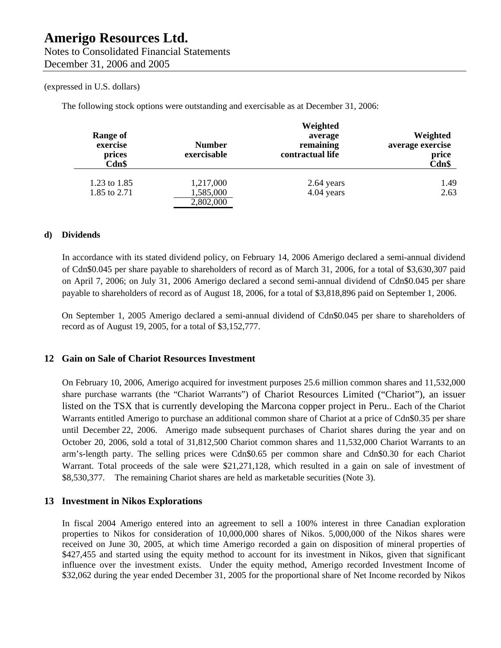The following stock options were outstanding and exercisable as at December 31, 2006:

| Range of<br>exercise<br>prices<br>Cdn\$ | <b>Number</b><br>exercisable | Weighted<br>average<br>remaining<br>contractual life | Weighted<br>average exercise<br>price<br>Cdn\$ |
|-----------------------------------------|------------------------------|------------------------------------------------------|------------------------------------------------|
| 1.23 to 1.85                            | 1,217,000                    | 2.64 years                                           | 1.49                                           |
| 1.85 to 2.71                            | 1,585,000<br>2,802,000       | 4.04 years                                           | 2.63                                           |

### **d) Dividends**

In accordance with its stated dividend policy, on February 14, 2006 Amerigo declared a semi-annual dividend of Cdn\$0.045 per share payable to shareholders of record as of March 31, 2006, for a total of \$3,630,307 paid on April 7, 2006; on July 31, 2006 Amerigo declared a second semi-annual dividend of Cdn\$0.045 per share payable to shareholders of record as of August 18, 2006, for a total of \$3,818,896 paid on September 1, 2006.

On September 1, 2005 Amerigo declared a semi-annual dividend of Cdn\$0.045 per share to shareholders of record as of August 19, 2005, for a total of \$3,152,777.

### **12 Gain on Sale of Chariot Resources Investment**

On February 10, 2006, Amerigo acquired for investment purposes 25.6 million common shares and 11,532,000 share purchase warrants (the "Chariot Warrants") of Chariot Resources Limited ("Chariot"), an issuer listed on the TSX that is currently developing the Marcona copper project in Peru.. Each of the Chariot Warrants entitled Amerigo to purchase an additional common share of Chariot at a price of Cdn\$0.35 per share until December 22, 2006. Amerigo made subsequent purchases of Chariot shares during the year and on October 20, 2006, sold a total of 31,812,500 Chariot common shares and 11,532,000 Chariot Warrants to an arm's-length party. The selling prices were Cdn\$0.65 per common share and Cdn\$0.30 for each Chariot Warrant. Total proceeds of the sale were \$21,271,128, which resulted in a gain on sale of investment of \$8,530,377. The remaining Chariot shares are held as marketable securities (Note 3).

### **13 Investment in Nikos Explorations**

In fiscal 2004 Amerigo entered into an agreement to sell a 100% interest in three Canadian exploration properties to Nikos for consideration of 10,000,000 shares of Nikos. 5,000,000 of the Nikos shares were received on June 30, 2005, at which time Amerigo recorded a gain on disposition of mineral properties of \$427,455 and started using the equity method to account for its investment in Nikos, given that significant influence over the investment exists. Under the equity method, Amerigo recorded Investment Income of \$32,062 during the year ended December 31, 2005 for the proportional share of Net Income recorded by Nikos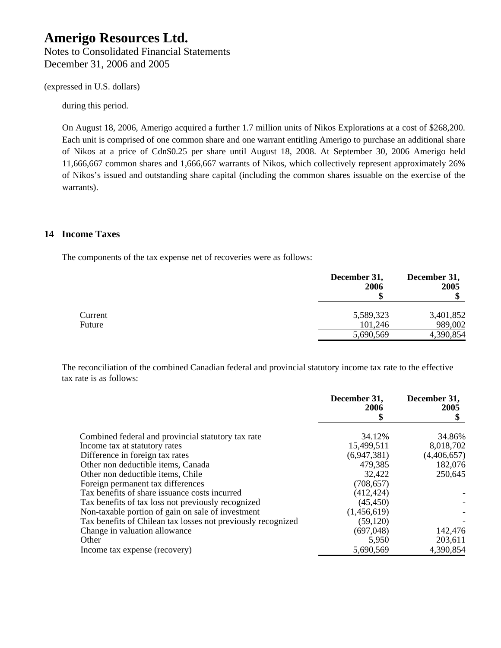Notes to Consolidated Financial Statements December 31, 2006 and 2005

(expressed in U.S. dollars)

during this period.

On August 18, 2006, Amerigo acquired a further 1.7 million units of Nikos Explorations at a cost of \$268,200. Each unit is comprised of one common share and one warrant entitling Amerigo to purchase an additional share of Nikos at a price of Cdn\$0.25 per share until August 18, 2008. At September 30, 2006 Amerigo held 11,666,667 common shares and 1,666,667 warrants of Nikos, which collectively represent approximately 26% of Nikos's issued and outstanding share capital (including the common shares issuable on the exercise of the warrants).

### **14 Income Taxes**

The components of the tax expense net of recoveries were as follows:

|         | December 31,<br>2006 | December 31,<br>2005 |
|---------|----------------------|----------------------|
| Current | 5,589,323            | 3,401,852            |
| Future  | 101,246<br>5,690,569 | 989,002<br>4,390,854 |

The reconciliation of the combined Canadian federal and provincial statutory income tax rate to the effective tax rate is as follows:

|                                                              | December 31,<br>2006<br>\$ | December 31,<br>2005 |
|--------------------------------------------------------------|----------------------------|----------------------|
| Combined federal and provincial statutory tax rate           | 34.12%                     | 34.86%               |
| Income tax at statutory rates                                | 15,499,511                 | 8,018,702            |
| Difference in foreign tax rates                              | (6,947,381)                | (4,406,657)          |
| Other non deductible items, Canada                           | 479,385                    | 182,076              |
| Other non deductible items, Chile                            | 32,422                     | 250,645              |
| Foreign permanent tax differences                            | (708, 657)                 |                      |
| Tax benefits of share issuance costs incurred                | (412, 424)                 |                      |
| Tax benefits of tax loss not previously recognized           | (45, 450)                  |                      |
| Non-taxable portion of gain on sale of investment            | (1,456,619)                |                      |
| Tax benefits of Chilean tax losses not previously recognized | (59, 120)                  |                      |
| Change in valuation allowance                                | (697,048)                  | 142,476              |
| Other                                                        | 5,950                      | 203,611              |
| Income tax expense (recovery)                                | 5,690,569                  | 4,390,854            |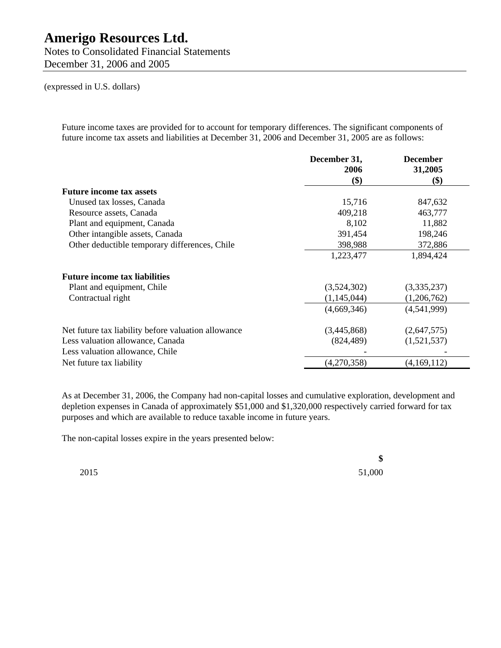Notes to Consolidated Financial Statements December 31, 2006 and 2005

(expressed in U.S. dollars)

Future income taxes are provided for to account for temporary differences. The significant components of future income tax assets and liabilities at December 31, 2006 and December 31, 2005 are as follows:

|                                                     | December 31, | <b>December</b>                      |
|-----------------------------------------------------|--------------|--------------------------------------|
|                                                     | 2006<br>\$)  | 31,2005<br>$\left( \text{\$}\right)$ |
| <b>Future income tax assets</b>                     |              |                                      |
| Unused tax losses, Canada                           | 15,716       | 847,632                              |
| Resource assets, Canada                             | 409,218      | 463,777                              |
| Plant and equipment, Canada                         | 8,102        | 11,882                               |
| Other intangible assets, Canada                     | 391,454      | 198,246                              |
| Other deductible temporary differences, Chile       | 398,988      | 372,886                              |
|                                                     | 1,223,477    | 1,894,424                            |
| <b>Future income tax liabilities</b>                |              |                                      |
| Plant and equipment, Chile                          | (3,524,302)  | (3,335,237)                          |
| Contractual right                                   | (1,145,044)  | (1,206,762)                          |
|                                                     | (4,669,346)  | (4,541,999)                          |
| Net future tax liability before valuation allowance | (3,445,868)  | (2,647,575)                          |
| Less valuation allowance, Canada                    | (824, 489)   | (1,521,537)                          |
| Less valuation allowance, Chile                     |              |                                      |
| Net future tax liability                            | (4,270,358)  | (4,169,112)                          |

As at December 31, 2006, the Company had non-capital losses and cumulative exploration, development and depletion expenses in Canada of approximately \$51,000 and \$1,320,000 respectively carried forward for tax purposes and which are available to reduce taxable income in future years.

The non-capital losses expire in the years presented below:

**\$** 

2015 51,000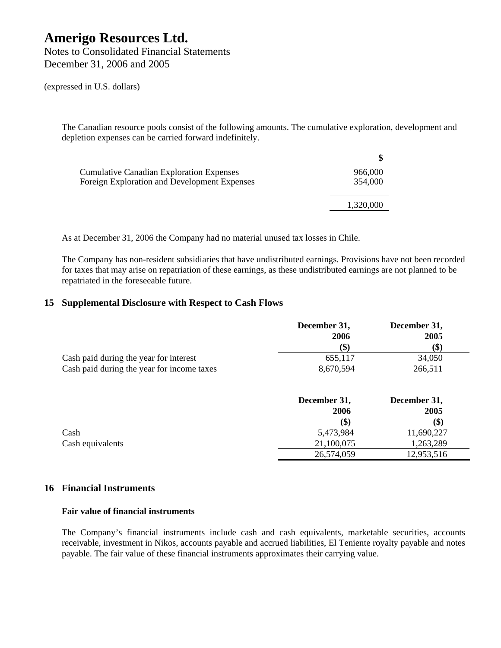Notes to Consolidated Financial Statements December 31, 2006 and 2005

(expressed in U.S. dollars)

The Canadian resource pools consist of the following amounts. The cumulative exploration, development and depletion expenses can be carried forward indefinitely.

| <b>Cumulative Canadian Exploration Expenses</b> | 966,000   |
|-------------------------------------------------|-----------|
| Foreign Exploration and Development Expenses    | 354,000   |
|                                                 |           |
|                                                 | 1,320,000 |
|                                                 |           |

As at December 31, 2006 the Company had no material unused tax losses in Chile.

The Company has non-resident subsidiaries that have undistributed earnings. Provisions have not been recorded for taxes that may arise on repatriation of these earnings, as these undistributed earnings are not planned to be repatriated in the foreseeable future.

### **15 Supplemental Disclosure with Respect to Cash Flows**

|                                            | December 31, | December 31, |
|--------------------------------------------|--------------|--------------|
|                                            | 2006         | 2005         |
|                                            |              | (\$)         |
| Cash paid during the year for interest     | 655.117      | 34,050       |
| Cash paid during the year for income taxes | 8,670,594    | 266,511      |

|                  | December 31, | December 31, |
|------------------|--------------|--------------|
|                  | 2006         | 2005         |
|                  | (\$)         | \$)          |
| Cash             | 5,473,984    | 11,690,227   |
| Cash equivalents | 21,100,075   | 1,263,289    |
|                  | 26,574,059   | 12,953,516   |

### **16 Financial Instruments**

### **Fair value of financial instruments**

The Company's financial instruments include cash and cash equivalents, marketable securities, accounts receivable, investment in Nikos, accounts payable and accrued liabilities, El Teniente royalty payable and notes payable. The fair value of these financial instruments approximates their carrying value.